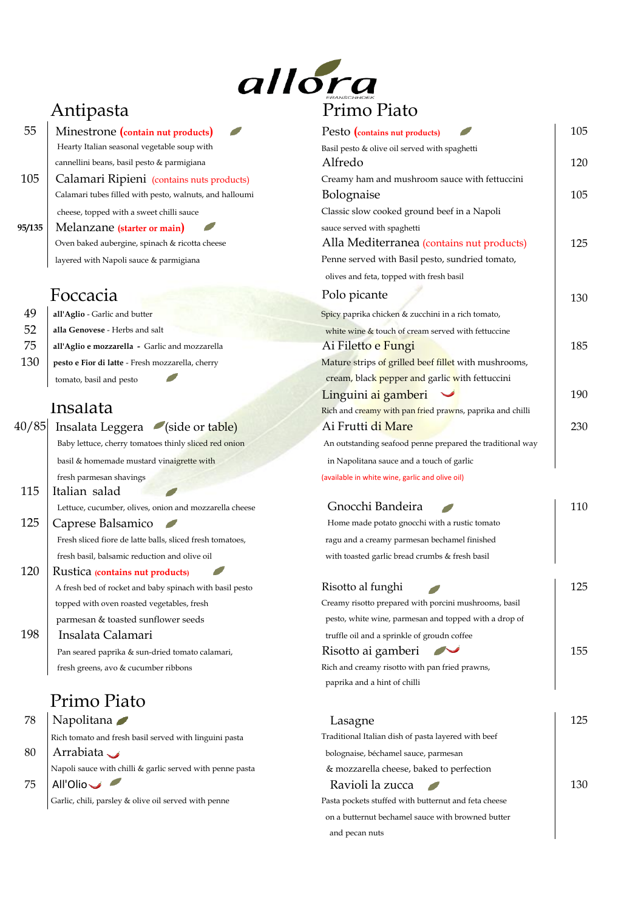

- **55** Minestrone (*contain nut products*) Hearty Italian seasonal vegetable soup with cannellini beans, basil pesto & parmigiana
- 105 Calamari Ripieni (contains nuts products) Calamari tubes filled with pesto, walnuts, and halloumi cheese, topped with a sweet chilli sauce
- **95/135** Melanzane (starter or main) Oven baked aubergine, spinach & ricotta cheese layered with Napoli sauce & parmigiana

| 49  | all'Aglio - Garlic and butter                    | Spicy paprika chicken & zucchini in a rich tomato, |
|-----|--------------------------------------------------|----------------------------------------------------|
| 52  | alla Genovese - Herbs and salt                   | white wine & touch of cream served with fettuccine |
| 75  | all'Aglio e mozzarella - Garlic and mozzarella   | Ai Filetto e Fungi                                 |
| 130 | pesto e Fior di latte - Fresh mozzarella, cherry | Mature strips of grilled beef fillet with mushro   |
|     |                                                  |                                                    |

| 40/85 | Insalata Leggera (side or table)                          | Ai Frutti di Mare                                     |
|-------|-----------------------------------------------------------|-------------------------------------------------------|
|       | Baby lettuce, cherry tomatoes thinly sliced red onion     | An outstanding seafood penne prepared the traditional |
|       | basil & homemade mustard vinaigrette with                 | in Napolitana sauce and a touch of garlic             |
|       | fresh parmesan shavings                                   | (available in white wine, garlic and olive oil)       |
| 115   | Italian salad                                             |                                                       |
|       | Lettuce, cucumber, olives, onion and mozzarella cheese    | Gnocchi Bandeira                                      |
| 125   | Caprese Balsamico                                         | Home made potato gnocchi with a rustic tomato         |
|       | Fresh sliced fiore de latte balls, sliced fresh tomatoes, | ragu and a creamy parmesan bechamel finished          |
|       | fresh basil, balsamic reduction and olive oil             | with toasted garlic bread crumbs & fresh basil        |
| 120   | Rustica <i>(contains nut products)</i>                    |                                                       |
|       | A fresh bed of rocket and baby spinach with basil pesto   | Risotto al funghi                                     |
|       | topped with oven roasted vegetables, fresh                | Creamy risotto prepared with porcini mushrooms, basil |
|       | parmesan & toasted sunflower seeds                        | pesto, white wine, parmesan and topped with a drop of |
| 198   | Insalata Calamari                                         | truffle oil and a sprinkle of groudn coffee           |
|       | Pan seared paprika & sun-dried tomato calamari,           | Risotto ai gamberi                                    |
|       | fresh greens, avo & cucumber ribbons                      | Rich and creamy risotto with pan fried prawns,        |
|       |                                                           | paprika and a hint of chilli                          |
|       | n.                                                        |                                                       |

Antipasta Primo Piato

| 55     | Minestrone (contain nut products)                         | Pesto (contains nut products)                             | 105 |
|--------|-----------------------------------------------------------|-----------------------------------------------------------|-----|
|        | Hearty Italian seasonal vegetable soup with               | Basil pesto & olive oil served with spaghetti             |     |
|        | cannellini beans, basil pesto & parmigiana                | Alfredo                                                   | 120 |
| 105    | Calamari Ripieni (contains nuts products)                 | Creamy ham and mushroom sauce with fettuccini             |     |
|        | Calamari tubes filled with pesto, walnuts, and halloumi   | Bolognaise                                                | 105 |
|        | cheese, topped with a sweet chilli sauce                  | Classic slow cooked ground beef in a Napoli               |     |
| 95/135 | Melanzane (starter or main)                               | sauce served with spaghetti                               |     |
|        | Oven baked aubergine, spinach & ricotta cheese            | Alla Mediterranea (contains nut products)                 | 125 |
|        | layered with Napoli sauce & parmigiana                    | Penne served with Basil pesto, sundried tomato,           |     |
|        |                                                           | olives and feta, topped with fresh basil                  |     |
|        | Foccacia                                                  | Polo picante                                              | 130 |
| 49     | all'Aglio - Garlic and butter                             | Spicy paprika chicken & zucchini in a rich tomato,        |     |
| 52     | alla Genovese - Herbs and salt                            | white wine & touch of cream served with fettuccine        |     |
| 75     | all'Aglio e mozzarella - Garlic and mozzarella            | Ai Filetto e Fungi                                        | 185 |
| 130    | pesto e Fior di latte - Fresh mozzarella, cherry          | Mature strips of grilled beef fillet with mushrooms,      |     |
|        | tomato, basil and pesto                                   | cream, black pepper and garlic with fettuccini            |     |
|        |                                                           | Linguini ai gamberi                                       | 190 |
|        | Insalata                                                  | Rich and creamy with pan fried prawns, paprika and chilli |     |
| 40/85  | Insalata Leggera (side or table)                          | Ai Frutti di Mare                                         | 230 |
|        | Baby lettuce, cherry tomatoes thinly sliced red onion     | An outstanding seafood penne prepared the traditional way |     |
|        | basil & homemade mustard vinaigrette with                 | in Napolitana sauce and a touch of garlic                 |     |
|        | fresh parmesan shavings                                   | (available in white wine, garlic and olive oil)           |     |
| 115    | Italian salad                                             |                                                           |     |
|        | Lettuce, cucumber, olives, onion and mozzarella cheese    | Gnocchi Bandeira                                          | 110 |
| 125    | Caprese Balsamico                                         | Home made potato gnocchi with a rustic tomato             |     |
|        | Fresh sliced fiore de latte balls, sliced fresh tomatoes, | ragu and a creamy parmesan bechamel finished              |     |
|        | fresh basil, balsamic reduction and olive oil             | with toasted garlic bread crumbs & fresh basil            |     |
| 120    | Rustica (contains nut products)                           |                                                           |     |
|        | A fresh bed of rocket and baby spinach with basil pesto   | Risotto al funghi                                         | 125 |
|        | topped with oven roasted vegetables, fresh                | Creamy risotto prepared with porcini mushrooms, basil     |     |
|        | parmesan & toasted sunflower seeds                        | pesto, white wine, parmesan and topped with a drop of     |     |
| 198    | Insalata Calamari                                         | truffle oil and a sprinkle of groudn coffee               |     |
|        | Pan seared paprika & sun-dried tomato calamari,           | Risotto ai gamberi<br>$\sim$                              | 155 |
|        | fresh greens, avo & cucumber ribbons                      | Rich and creamy risotto with pan fried prawns,            |     |
|        |                                                           | paprika and a hint of chilli                              |     |
|        | Primo Piato                                               |                                                           |     |
| 78     | Napolitana                                                | Lasagne                                                   | 125 |
|        | Rich tomato and fresh basil served with linguini pasta    | Traditional Italian dish of pasta layered with beef       |     |
| 80     | Arrabiata $\rightarrow$                                   | bolognaise, béchamel sauce, parmesan                      |     |
|        | Napoli sauce with chilli & garlic served with penne pasta | & mozzarella cheese, baked to perfection                  |     |
| 75     | All'Olio                                                  | Ravioli la zucca<br>$\overline{\phantom{a}}$              | 130 |
|        | Garlic, chili, parsley & olive oil served with penne      | Pasta pockets stuffed with butternut and feta cheese      |     |
|        |                                                           | on a butternut bechamel sauce with browned butter         |     |
|        |                                                           | and pecan nuts                                            |     |